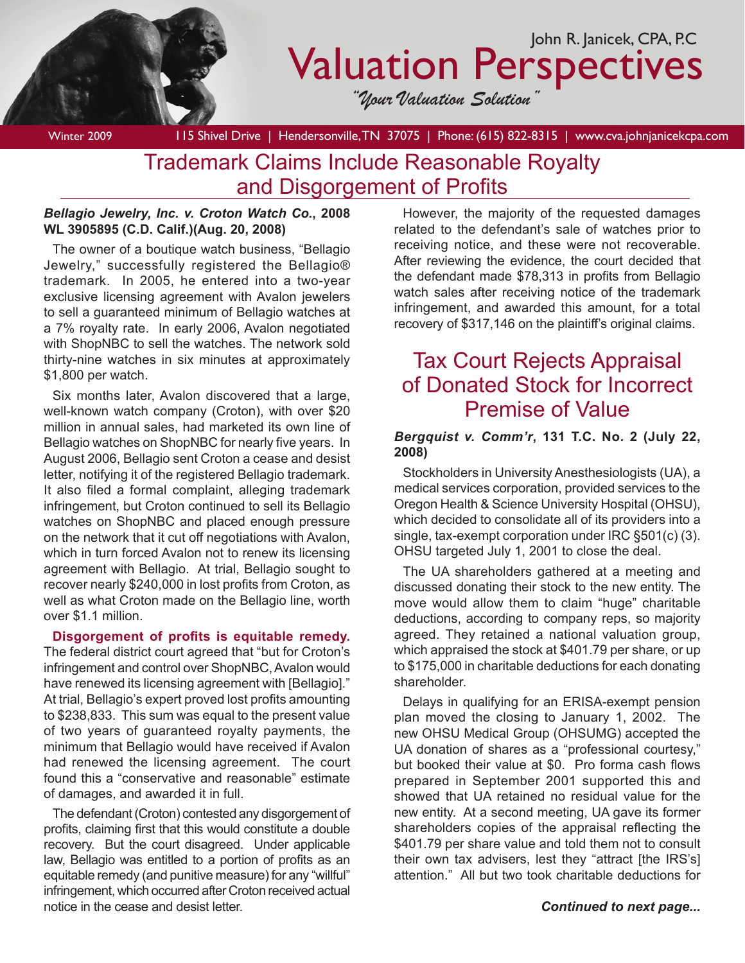

# Valuation Perspectives

*"Your Valuation Solution"*

Winter 2009 115 Shivel Drive | Hendersonville, TN 37075 | Phone: (615) 822-8315 | www.cva.johnjanicekcpa.com Trademark Claims Include Reasonable Royalty and Disgorgement of Profits

#### *Bellagio Jewelry, Inc. v. Croton Watch Co.***, 2008 WL 3905895 (C.D. Calif.)(Aug. 20, 2008)**

The owner of a boutique watch business, "Bellagio Jewelry," successfully registered the Bellagio® trademark. In 2005, he entered into a two-year exclusive licensing agreement with Avalon jewelers to sell a guaranteed minimum of Bellagio watches at a 7% royalty rate. In early 2006, Avalon negotiated with ShopNBC to sell the watches. The network sold thirty-nine watches in six minutes at approximately \$1,800 per watch.

Six months later, Avalon discovered that a large, well-known watch company (Croton), with over \$20 million in annual sales, had marketed its own line of Bellagio watches on ShopNBC for nearly five years. In August 2006, Bellagio sent Croton a cease and desist letter, notifying it of the registered Bellagio trademark. It also filed a formal complaint, alleging trademark infringement, but Croton continued to sell its Bellagio watches on ShopNBC and placed enough pressure on the network that it cut off negotiations with Avalon, which in turn forced Avalon not to renew its licensing agreement with Bellagio. At trial, Bellagio sought to recover nearly \$240,000 in lost profits from Croton, as well as what Croton made on the Bellagio line, worth over \$1.1 million.

**Disgorgement of profits is equitable remedy.**  The federal district court agreed that "but for Croton's infringement and control over ShopNBC, Avalon would have renewed its licensing agreement with [Bellagio]." At trial, Bellagio's expert proved lost profits amounting to \$238,833. This sum was equal to the present value of two years of guaranteed royalty payments, the minimum that Bellagio would have received if Avalon had renewed the licensing agreement. The court found this a "conservative and reasonable" estimate of damages, and awarded it in full.

The defendant (Croton) contested any disgorgement of profits, claiming first that this would constitute a double recovery. But the court disagreed. Under applicable law, Bellagio was entitled to a portion of profits as an equitable remedy (and punitive measure) for any "willful" infringement, which occurred after Croton received actual notice in the cease and desist letter.

However, the majority of the requested damages related to the defendant's sale of watches prior to receiving notice, and these were not recoverable. After reviewing the evidence, the court decided that the defendant made \$78,313 in profits from Bellagio watch sales after receiving notice of the trademark infringement, and awarded this amount, for a total recovery of \$317,146 on the plaintiff's original claims.

## Tax Court Rejects Appraisal of Donated Stock for Incorrect Premise of Value

### *Bergquist v. Comm'r***, 131 T.C. No. 2 (July 22, 2008)**

Stockholders in University Anesthesiologists (UA), a medical services corporation, provided services to the Oregon Health & Science University Hospital (OHSU), which decided to consolidate all of its providers into a single, tax-exempt corporation under IRC §501(c) (3). OHSU targeted July 1, 2001 to close the deal.

The UA shareholders gathered at a meeting and discussed donating their stock to the new entity. The move would allow them to claim "huge" charitable deductions, according to company reps, so majority agreed. They retained a national valuation group, which appraised the stock at \$401.79 per share, or up to \$175,000 in charitable deductions for each donating shareholder.

Delays in qualifying for an ERISA-exempt pension plan moved the closing to January 1, 2002. The new OHSU Medical Group (OHSUMG) accepted the UA donation of shares as a "professional courtesy," but booked their value at \$0. Pro forma cash flows prepared in September 2001 supported this and showed that UA retained no residual value for the new entity. At a second meeting, UA gave its former shareholders copies of the appraisal reflecting the \$401.79 per share value and told them not to consult their own tax advisers, lest they "attract [the IRS's] attention." All but two took charitable deductions for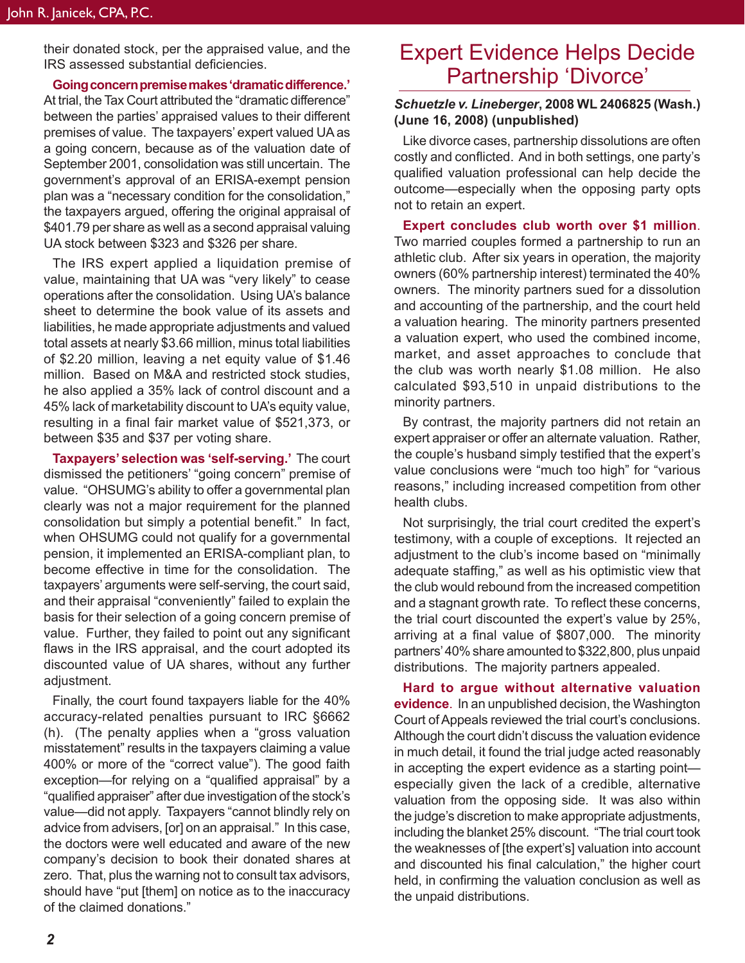their donated stock, per the appraised value, and the IRS assessed substantial deficiencies.

**Going concern premise makes 'dramatic difference.'** At trial, the Tax Court attributed the "dramatic difference" between the parties' appraised values to their different premises of value. The taxpayers' expert valued UA as a going concern, because as of the valuation date of September 2001, consolidation was still uncertain. The government's approval of an ERISA-exempt pension plan was a "necessary condition for the consolidation," the taxpayers argued, offering the original appraisal of \$401.79 per share as well as a second appraisal valuing UA stock between \$323 and \$326 per share.

The IRS expert applied a liquidation premise of value, maintaining that UA was "very likely" to cease operations after the consolidation. Using UA's balance sheet to determine the book value of its assets and liabilities, he made appropriate adjustments and valued total assets at nearly \$3.66 million, minus total liabilities of \$2.20 million, leaving a net equity value of \$1.46 million. Based on M&A and restricted stock studies, he also applied a 35% lack of control discount and a 45% lack of marketability discount to UA's equity value, resulting in a final fair market value of \$521,373, or between \$35 and \$37 per voting share.

**Taxpayers' selection was 'self-serving.'** The court dismissed the petitioners' "going concern" premise of value. "OHSUMG's ability to offer a governmental plan clearly was not a major requirement for the planned consolidation but simply a potential benefit." In fact, when OHSUMG could not qualify for a governmental pension, it implemented an ERISA-compliant plan, to become effective in time for the consolidation. The taxpayers' arguments were self-serving, the court said, and their appraisal "conveniently" failed to explain the basis for their selection of a going concern premise of value. Further, they failed to point out any significant flaws in the IRS appraisal, and the court adopted its discounted value of UA shares, without any further adjustment.

Finally, the court found taxpayers liable for the 40% accuracy-related penalties pursuant to IRC §6662 (h). (The penalty applies when a "gross valuation misstatement" results in the taxpayers claiming a value 400% or more of the "correct value"). The good faith exception—for relying on a "qualified appraisal" by a "qualified appraiser" after due investigation of the stock's value—did not apply. Taxpayers "cannot blindly rely on advice from advisers, [or] on an appraisal." In this case, the doctors were well educated and aware of the new company's decision to book their donated shares at zero. That, plus the warning not to consult tax advisors, should have "put [them] on notice as to the inaccuracy of the claimed donations."

## Expert Evidence Helps Decide Partnership 'Divorce'

### *Schuetzle v. Lineberger***, 2008 WL 2406825 (Wash.) (June 16, 2008) (unpublished)**

Like divorce cases, partnership dissolutions are often costly and conflicted. And in both settings, one party's qualified valuation professional can help decide the outcome—especially when the opposing party opts not to retain an expert.

**Expert concludes club worth over \$1 million**. Two married couples formed a partnership to run an athletic club. After six years in operation, the majority owners (60% partnership interest) terminated the 40% owners. The minority partners sued for a dissolution and accounting of the partnership, and the court held a valuation hearing. The minority partners presented a valuation expert, who used the combined income, market, and asset approaches to conclude that the club was worth nearly \$1.08 million. He also calculated \$93,510 in unpaid distributions to the minority partners.

By contrast, the majority partners did not retain an expert appraiser or offer an alternate valuation. Rather, the couple's husband simply testified that the expert's value conclusions were "much too high" for "various reasons," including increased competition from other health clubs.

Not surprisingly, the trial court credited the expert's testimony, with a couple of exceptions. It rejected an adjustment to the club's income based on "minimally adequate staffing," as well as his optimistic view that the club would rebound from the increased competition and a stagnant growth rate. To reflect these concerns, the trial court discounted the expert's value by 25%, arriving at a final value of \$807,000. The minority partners' 40% share amounted to \$322,800, plus unpaid distributions. The majority partners appealed.

**Hard to argue without alternative valuation evidence**. In an unpublished decision, the Washington Court of Appeals reviewed the trial court's conclusions. Although the court didn't discuss the valuation evidence in much detail, it found the trial judge acted reasonably in accepting the expert evidence as a starting point especially given the lack of a credible, alternative valuation from the opposing side. It was also within the judge's discretion to make appropriate adjustments, including the blanket 25% discount. "The trial court took the weaknesses of [the expert's] valuation into account and discounted his final calculation," the higher court held, in confirming the valuation conclusion as well as the unpaid distributions.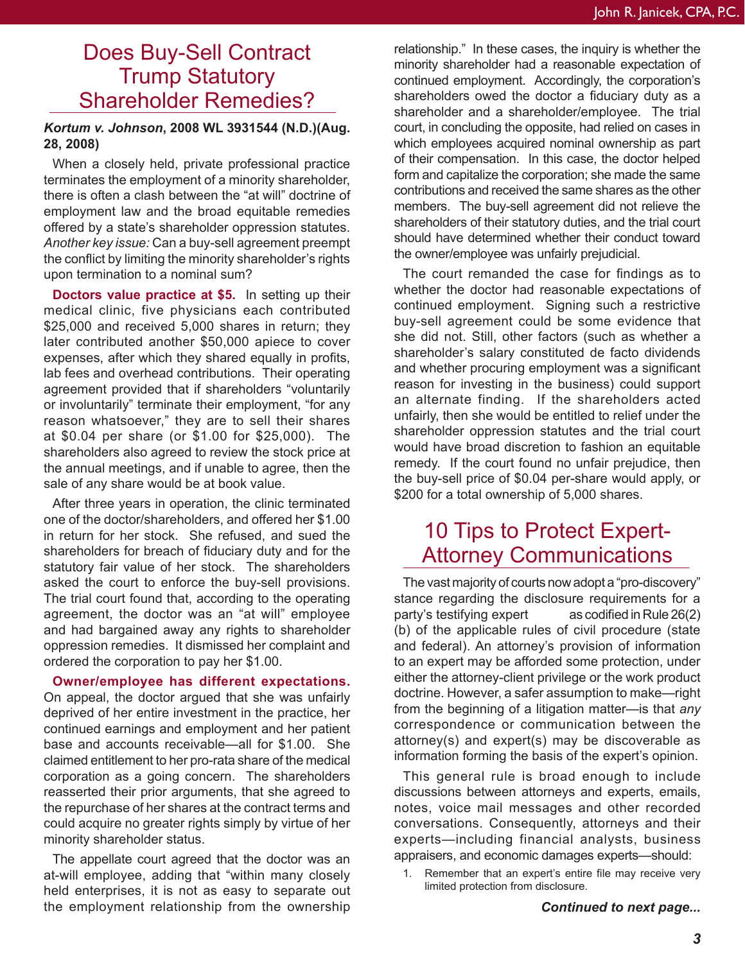## Does Buy-Sell Contract Trump Statutory Shareholder Remedies?

### *Kortum v. Johnson***, 2008 WL 3931544 (N.D.)(Aug. 28, 2008)**

When a closely held, private professional practice terminates the employment of a minority shareholder, there is often a clash between the "at will" doctrine of employment law and the broad equitable remedies offered by a state's shareholder oppression statutes. *Another key issue:* Can a buy-sell agreement preempt the conflict by limiting the minority shareholder's rights upon termination to a nominal sum?

**Doctors value practice at \$5.** In setting up their medical clinic, five physicians each contributed \$25,000 and received 5,000 shares in return; they later contributed another \$50,000 apiece to cover expenses, after which they shared equally in profits, lab fees and overhead contributions. Their operating agreement provided that if shareholders "voluntarily or involuntarily" terminate their employment, "for any reason whatsoever," they are to sell their shares at \$0.04 per share (or \$1.00 for \$25,000). The shareholders also agreed to review the stock price at the annual meetings, and if unable to agree, then the sale of any share would be at book value.

After three years in operation, the clinic terminated one of the doctor/shareholders, and offered her \$1.00 in return for her stock. She refused, and sued the shareholders for breach of fiduciary duty and for the statutory fair value of her stock. The shareholders asked the court to enforce the buy-sell provisions. The trial court found that, according to the operating agreement, the doctor was an "at will" employee and had bargained away any rights to shareholder oppression remedies. It dismissed her complaint and ordered the corporation to pay her \$1.00.

#### **Owner/employee has different expectations.**

On appeal, the doctor argued that she was unfairly deprived of her entire investment in the practice, her continued earnings and employment and her patient base and accounts receivable—all for \$1.00. She claimed entitlement to her pro-rata share of the medical corporation as a going concern. The shareholders reasserted their prior arguments, that she agreed to the repurchase of her shares at the contract terms and could acquire no greater rights simply by virtue of her minority shareholder status.

The appellate court agreed that the doctor was an at-will employee, adding that "within many closely held enterprises, it is not as easy to separate out the employment relationship from the ownership

relationship." In these cases, the inquiry is whether the minority shareholder had a reasonable expectation of continued employment. Accordingly, the corporation's shareholders owed the doctor a fiduciary duty as a shareholder and a shareholder/employee. The trial court, in concluding the opposite, had relied on cases in which employees acquired nominal ownership as part of their compensation. In this case, the doctor helped form and capitalize the corporation; she made the same contributions and received the same shares as the other members. The buy-sell agreement did not relieve the shareholders of their statutory duties, and the trial court should have determined whether their conduct toward the owner/employee was unfairly prejudicial.

The court remanded the case for findings as to whether the doctor had reasonable expectations of continued employment. Signing such a restrictive buy-sell agreement could be some evidence that she did not. Still, other factors (such as whether a shareholder's salary constituted de facto dividends and whether procuring employment was a significant reason for investing in the business) could support an alternate finding. If the shareholders acted unfairly, then she would be entitled to relief under the shareholder oppression statutes and the trial court would have broad discretion to fashion an equitable remedy. If the court found no unfair prejudice, then the buy-sell price of \$0.04 per-share would apply, or \$200 for a total ownership of 5,000 shares.

## 10 Tips to Protect Expert-Attorney Communications

The vast majority of courts now adopt a "pro-discovery" stance regarding the disclosure requirements for a party's testifying expert as codified in Rule 26(2) (b) of the applicable rules of civil procedure (state and federal). An attorney's provision of information to an expert may be afforded some protection, under either the attorney-client privilege or the work product doctrine. However, a safer assumption to make—right from the beginning of a litigation matter—is that *any* correspondence or communication between the attorney(s) and expert(s) may be discoverable as information forming the basis of the expert's opinion.

This general rule is broad enough to include discussions between attorneys and experts, emails, notes, voice mail messages and other recorded conversations. Consequently, attorneys and their experts—including financial analysts, business appraisers, and economic damages experts—should:

1. Remember that an expert's entire file may receive very limited protection from disclosure.

*Continued to next page...*